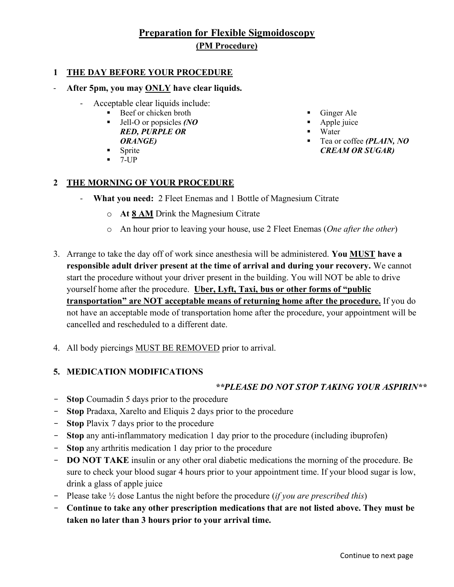# **Preparation for Flexible Sigmoidoscopy (PM Procedure)**

#### **1 THE DAY BEFORE YOUR PROCEDURE**

#### After 5pm, you may **ONLY** have clear liquids.

- Acceptable clear liquids include:
	- Beef or chicken broth
	- Jell-O or popsicles *(NO RED, PURPLE OR ORANGE)*
	- Sprite
	- $-7$ -UP

#### **2 THE MORNING OF YOUR PROCEDURE**

- **What you need:** 2 Fleet Enemas and 1 Bottle of Magnesium Citrate
	- o **At 8 AM** Drink the Magnesium Citrate
	- o An hour prior to leaving your house, use 2 Fleet Enemas (*One after the other*)
- 3. Arrange to take the day off of work since anesthesia will be administered. **You MUST have a responsible adult driver present at the time of arrival and during your recovery.** We cannot start the procedure without your driver present in the building. You will NOT be able to drive yourself home after the procedure. **Uber, Lyft, Taxi, bus or other forms of "public transportation" are NOT acceptable means of returning home after the procedure.** If you do not have an acceptable mode of transportation home after the procedure, your appointment will be cancelled and rescheduled to a different date.
- 4. All body piercings MUST BE REMOVED prior to arrival.

#### **5. MEDICATION MODIFICATIONS**

#### *\*\*PLEASE DO NOT STOP TAKING YOUR ASPIRIN\*\**

- **Stop** Coumadin 5 days prior to the procedure
- **Stop** Pradaxa, Xarelto and Eliquis 2 days prior to the procedure
- **Stop** Plavix 7 days prior to the procedure
- **Stop** any anti-inflammatory medication 1 day prior to the procedure (including ibuprofen)
- **Stop** any arthritis medication 1 day prior to the procedure
- **DO NOT TAKE** insulin or any other oral diabetic medications the morning of the procedure. Be sure to check your blood sugar 4 hours prior to your appointment time. If your blood sugar is low, drink a glass of apple juice
- Please take ½ dose Lantus the night before the procedure (*if you are prescribed this*)
- **Continue to take any other prescription medications that are not listed above. They must be taken no later than 3 hours prior to your arrival time.**
- Ginger Ale
- Apple juice
- Water
- Tea or coffee *(PLAIN, NO CREAM OR SUGAR)*